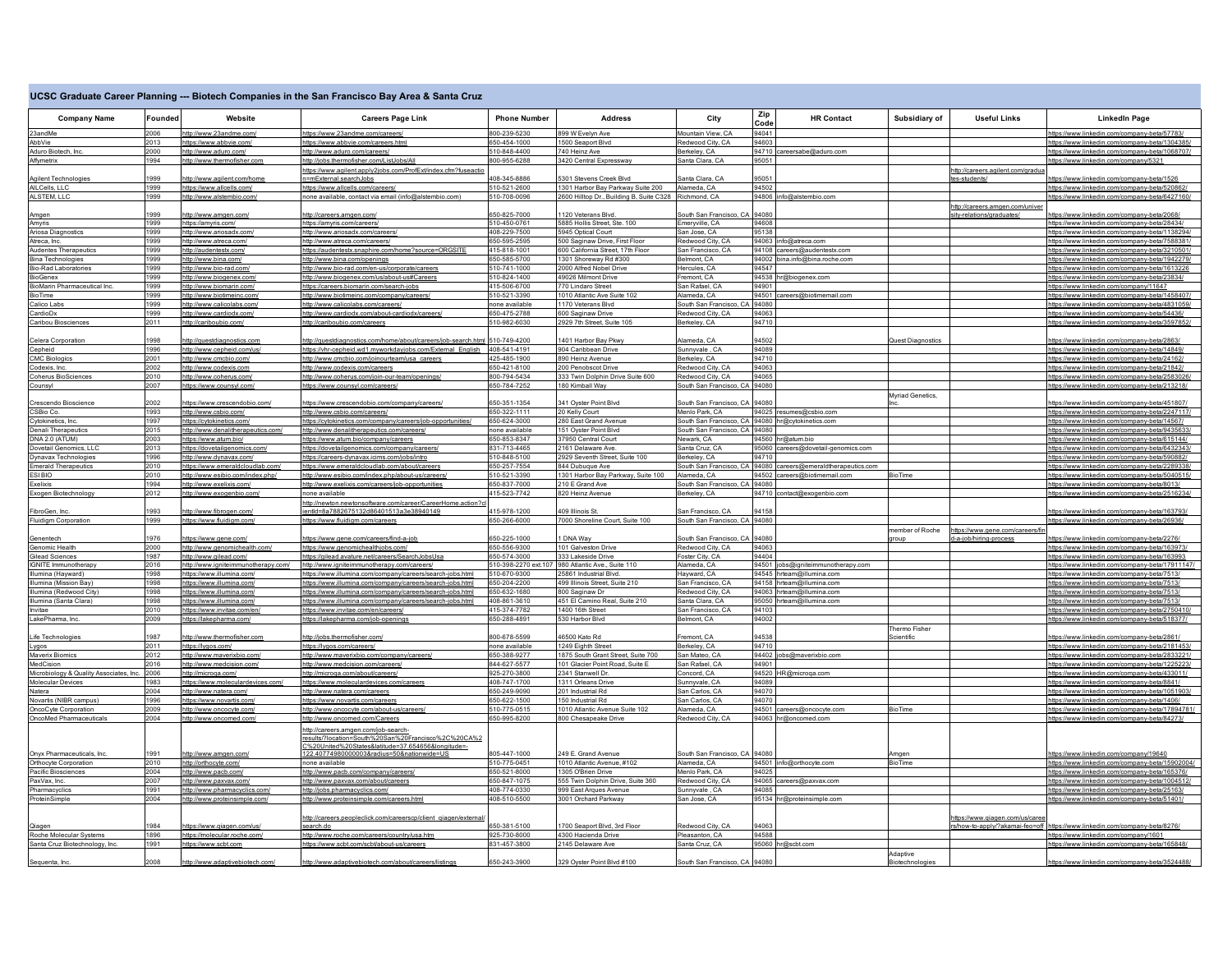## **UCSC Graduate Career Planning --- Biotech Companies in the San Francisco Bay Area & Santa Cruz**

| <b>Company Name</b>                     | Founded      | Website                                                 | <b>Careers Page Link</b>                                                                                    | <b>Phone Number</b>            | <b>Address</b>                                        | City                                              | Zip   | <b>HR Contact</b>                                             | Subsidiary of<br><b>Useful Links</b>                            | <b>LinkedIn Page</b>                                                                         |
|-----------------------------------------|--------------|---------------------------------------------------------|-------------------------------------------------------------------------------------------------------------|--------------------------------|-------------------------------------------------------|---------------------------------------------------|-------|---------------------------------------------------------------|-----------------------------------------------------------------|----------------------------------------------------------------------------------------------|
|                                         |              |                                                         |                                                                                                             |                                |                                                       |                                                   | Code  |                                                               |                                                                 |                                                                                              |
| 23andMe                                 | 2006         | http://www.23andme.com/                                 | https://www.23andme.com/careers                                                                             | 800-239-5230                   | 899 W Evelyn Ave                                      | Mountain View, CA                                 | 94041 |                                                               |                                                                 | https://www.linkedin.com/company-beta/57783/                                                 |
| AbbVie                                  | 2013         | https://www.abbvie.com/                                 | https://www.abbvie.com/careers.html                                                                         | 650-454-1000                   | 1500 Seaport Blvd                                     | Redwood City, CA                                  | 94603 |                                                               |                                                                 | https://www.linkedin.com/company-beta/1304385/                                               |
| Aduro Biotech, Inc.                     | 2000         | http://www.aduro.com/                                   | http://www.aduro.com/careers/                                                                               | 10-848-4400                    | 740 Heinz Ave                                         | Berkeley, CA                                      |       | 94710 careersabe@aduro.com                                    |                                                                 | https://www.linkedin.com/company-beta/1068707/                                               |
| Affymetrix                              | 1994         | http://www.thermofisher.con                             | http://jobs.thermofisher.com/ListJobs/Al                                                                    | 800-955-6288                   | 3420 Central Expressway                               | Santa Clara, CA                                   | 95051 |                                                               |                                                                 | https://www.linkedin.com/company/5321                                                        |
| Agilent Technologies                    | 1999         |                                                         | https://www.agilent.apply2jobs.com/ProfExt/index.cfm?fuseactio                                              | 108-345-8886                   | 5301 Stevens Creek Blvd                               | Santa Clara, CA                                   | 95051 |                                                               | http://careers.agilent.com/gradua<br>tes-students               |                                                                                              |
| AILCells, LLC                           | 1999         | ttp://www.agilent.com/home<br>https://www.allcells.com/ | =mExternal.searchJobs<br>ttps://www.allcells.com/careers/                                                   | 510-521-2600                   | 1301 Harbor Bay Parkway Suite 200                     | Alameda, CA                                       | 94502 |                                                               |                                                                 | https://www.linkedin.com/company-beta/1526<br>https://www.linkedin.com/company-beta/520862   |
| ALSTEM, LLC                             | 1999         | http://www.alstembio.com                                | one available, contact via email (info@alstembio.com)                                                       | 510-708-0096                   | 2600 Hilltop Dr., Building B, Suite C328 Richmond, CA |                                                   |       | 94806 info@alstembio.com                                      |                                                                 | https://www.linkedin.com/company-beta/6427160                                                |
|                                         |              |                                                         |                                                                                                             |                                |                                                       |                                                   |       |                                                               | http://careers.amgen.com/unive                                  |                                                                                              |
| Amgen                                   | 1999         | http://www.amgen.com                                    | ttp://careers.amgen.com/                                                                                    | 60-825-7000                    | 1120 Veterans Blvd                                    | South San Francisco, CA                           | 94080 |                                                               | sity-relations/graduates                                        | ttps://www.linkedin.com/company-beta/2068                                                    |
| Amyris                                  | 1999         | https://amyris.com/                                     | https://amyris.com/careers/                                                                                 | 510-450-0761                   | 5885 Hollis Street, Ste. 100                          | Emeryville, CA                                    | 94608 |                                                               |                                                                 | https://www.linkedin.com/company-beta/28434/                                                 |
| Ariosa Diagnostics                      | 999          | http://www.ariosadx.com                                 | http://www.ariosadx.com/careers                                                                             | 408-229-7500                   | 5945 Optical Court                                    | San Jose, CA                                      | 95138 |                                                               |                                                                 | https://www.linkedin.com/company-beta/1138294.                                               |
| Atreca, Inc.                            | 1999         | http://www.atreca.com                                   | ttp://www.atreca.com/careers.                                                                               | 650-595-2595                   | 500 Saginaw Drive, First Floor                        | Redwood City, CA                                  |       | 94063 info@atreca.com                                         |                                                                 | https://www.linkedin.com/company-beta/7588381                                                |
| Audentes Therapeutics                   | 1999         | http://audentestx.com                                   | https://audentestx.snaphire.com/home?source=ORGSITE                                                         | 415-818-1001                   | 600 California Street, 17th Floor                     | San Francisco, CA                                 |       | 94108 careers@audentestx.com                                  |                                                                 | https://www.linkedin.com/company-beta/3210501                                                |
| <b>Bina Technologies</b>                | 1999         | http://www.bina.com/                                    | http://www.bina.com/openings                                                                                | 650-585-5700                   | 1301 Shoreway Rd #300                                 | Belmont, CA                                       |       | 94002 bina.info@bina.roche.com                                |                                                                 | https://www.linkedin.com/company-beta/1942279.                                               |
| <b>Bio-Rad Laboratories</b>             | 1999         | http://www.bio-rad.com/                                 | http://www.bio-rad.com/en-us/corporate/careers                                                              | 610-741-1000                   | 2000 Alfred Nobel Drive                               | Hercules, CA                                      | 94547 |                                                               |                                                                 | https://www.linkedin.com/company-beta/1613226                                                |
| BioGenex                                | 1999         | http://www.biogenex.com/                                | ttp://www.biogenex.com/us/about-us#Careers                                                                  | 510-824-1400                   | 49026 Milmont Drive                                   | Fremont, CA                                       |       | 94538 hr@biogenex.com                                         |                                                                 | https://www.linkedin.com/company-beta/23834/                                                 |
| BioMarin Pharmaceutical Inc.            | 1999         | http://www.biomarin.com/                                | https://careers.biomarin.com/search-jobs                                                                    | 415-506-6700                   | 770 Lindaro Street                                    | San Rafael, CA                                    | 94901 |                                                               |                                                                 | https://www.linkedin.com/company/11647                                                       |
| BioTime                                 | 1999         | http://www.biotimeinc.com                               | http://www.biotimeinc.com/company/careers/                                                                  | 510-521-3390                   | 1010 Atlantic Ave Suite 102                           | Alameda, CA                                       |       | 94501 careers@biotimemail.com                                 |                                                                 | https://www.linkedin.com/company-beta/1458407.                                               |
| Calico Labs                             | 1999         | http://www.calicolabs.com                               | http://www.calicolabs.com/careers/                                                                          | none available                 | 1170 Veterans Blvd                                    | South San Francisco, CA                           | 94080 |                                                               |                                                                 | https://www.linkedin.com/company-beta/4831059/                                               |
| CardioDx                                | 1999<br>2011 | http://www.cardiodx.com/                                | ttp://www.cardiodx.com/about-cardiodx/careers.                                                              | 650-475-2788<br>510-982-6030   | 600 Saginaw Drive                                     | Redwood City, CA                                  | 94063 |                                                               |                                                                 | https://www.linkedin.com/company-beta/54436                                                  |
| Caribou Biosciences                     |              | http://cariboubio.com/                                  | http://cariboubio.com/careers                                                                               |                                | 2929 7th Street. Suite 105                            | Berkelev, CA                                      | 94710 |                                                               |                                                                 | https://www.linkedin.com/company-beta/3597852                                                |
|                                         | 998          |                                                         |                                                                                                             |                                |                                                       | Alameda, CA                                       | 94502 |                                                               |                                                                 |                                                                                              |
| Celera Corporation<br>Cepheid           | 1996         | ttp://questdiagnostics.com                              | ttp://questdiagnostics.com/home/about/careers/job-search.html 510-749-4200                                  | 408-541-4191                   | 1401 Harbor Bay Pkwy<br>904 Caribbean Drive           | Sunnvvale . CA                                    | 94089 |                                                               | <b>Quest Diagnostics</b>                                        | https://www.linkedin.com/company-beta/2863.                                                  |
| <b>CMC Biologics</b>                    | 2001         | http://www.cepheid.com/us<br>http://www.cmcbio.com/     | https://vhr-cepheid.wd1.myworkdayjobs.com/External_English<br>http://www.cmcbio.com/joinourteam/usa careers | 425-485-1900                   | 890 Heinz Avenue                                      | Berkelev, CA                                      | 94710 |                                                               |                                                                 | https://www.linkedin.com/company-beta/14849/<br>https://www.linkedin.com/company-beta/24162/ |
| Codexis, Inc.                           | 2002         | http://www.codexis.com                                  | http://www.codexis.com/careers                                                                              | 650-421-8100                   | 200 Penobscot Drive                                   | Redwood City, CA                                  | 94063 |                                                               |                                                                 | https://www.linkedin.com/company-beta/21842/                                                 |
| Coherus BioSciences                     | 2010         | http://www.coherus.com/                                 | http://www.coherus.com/join-our-team/openings/                                                              | 800-794-5434                   | 333 Twin Dolphin Drive Suite 600                      | Redwood City, CA                                  | 94065 |                                                               |                                                                 | https://www.linkedin.com/company-beta/2583026                                                |
| Counsyl                                 | 2007         | https://www.counsvl.com                                 | ttps://www.counsvl.com/careers                                                                              | 650-784-7252                   | 180 Kimball Way                                       | South San Francisco, CA                           | 94080 |                                                               |                                                                 | https://www.linkedin.com/company-beta/213218/                                                |
|                                         |              |                                                         |                                                                                                             |                                |                                                       |                                                   |       |                                                               | <b>Myriad Genetics</b>                                          |                                                                                              |
| Crescendo Bioscience                    | 2002         | https://www.crescendobio.com/                           | https://www.crescendobio.com/company/careers/                                                               | 650-351-1354                   | 341 Oyster Point Blvd                                 | South San Francisco, CA                           | 94080 |                                                               |                                                                 | https://www.linkedin.com/company-beta/451807/                                                |
| CSBio Co.                               | 1993         | http://www.csbio.com/                                   | http://www.csbio.com/careers/                                                                               | 650-322-1111                   | 20 Kelly Court                                        | Menio Park, CA                                    |       | 94025 resumes@csbio.com                                       |                                                                 | https://www.linkedin.com/company-beta/2247117/                                               |
| Cytokinetics, Inc.                      | 1997         | https://cytokinetics.com                                | https://cytokinetics.com/company/careers/job-opportunities/                                                 | 650-624-3000                   | 280 East Grand Avenue                                 | South San Francisco, CA 94080 hr@cytokinetics.com |       |                                                               |                                                                 | https://www.linkedin.com/company-beta/14567/                                                 |
| <b>Denali Therapeutics</b>              | 2015         | http://www.denalitherapeutics.com/                      | http://www.denalitherapeutics.com/careers                                                                   | none available                 | 151 Oyster Point Blvd                                 | South San Francisco, CA 94080                     |       |                                                               |                                                                 | https://www.linkedin.com/company-beta/9435633                                                |
| DNA 2.0 (ATUM)                          | 2003         | https://www.atum.bio/                                   | https://www.atum.bio/company/careers                                                                        | 650-853-8347                   | 37950 Central Court                                   | Newark, CA                                        |       | 94560 hr@atum.bio                                             |                                                                 | https://www.linkedin.com/company-beta/615144/                                                |
| Dovetail Genomics, LLC                  | 2013         | https://dovetailgenomics.com/                           | https://dovetailgenomics.com/company/careers/                                                               | 831-713-4465                   | 2161 Delaware Ave.                                    | Santa Cruz, CA                                    |       | 95060 careers@dovetail-genomics.com                           |                                                                 | https://www.linkedin.com/company-beta/6432343                                                |
| Dynavax Technologies                    | 1996         | http://www.dynavax.com/                                 | https://careers-dynavax.icims.com/jobs/intro                                                                | 510-848-5100                   | 2929 Seventh Street, Suite 100                        | Berkeley, CA                                      | 94710 |                                                               |                                                                 | https://www.linkedin.com/company-beta/590882                                                 |
| <b>Emerald Therapeutics</b>             | 2010         | https://www.emeraldcloudlab.com/                        | https://www.emeraldcloudlab.com/about/careers                                                               | 650-257-7554                   | 844 Dubuque Ave                                       |                                                   |       | South San Francisco, CA 94080 careers@emeraldtherapeutics.com |                                                                 | https://www.linkedin.com/company-beta/2289338/                                               |
| ESI BIO                                 | 2010         | http://www.esibio.com/index.php/                        | http://www.esibio.com/index.php/about-us/careers                                                            | 510-521-3390                   | 1301 Harbor Bay Parkway, Suite 100                    | Alameda, CA                                       |       | 94502 careers@biotimemail.com                                 | <b>BioTime</b>                                                  | https://www.linkedin.com/company-beta/5040515/                                               |
| <b>Exelixis</b>                         | 1994         | http://www.exelixis.com/                                | http://www.exelixis.com/careers/job-opportunities                                                           | 650-837-7000                   | 210 F Grand Ave                                       | South San Francisco, CA 94080                     |       |                                                               |                                                                 | https://www.linkedin.com/company-beta/8013/                                                  |
| Exogen Biotechnology                    | 2012         | http://www.exogenbio.com                                | none available                                                                                              | 415-523-7742                   | 820 Heinz Avenue                                      | Berkeley, CA                                      |       | 94710 contact@exogenbio.com                                   |                                                                 | https://www.linkedin.com/company-beta/2516234/                                               |
| FibroGen, Inc.                          | 1993         | http://www.fibrogen.com/                                | http://newton.newtonsoftware.com/career/CareerHome.action?c<br>entld=8a7882675132d86401513a3e38940149       | 15-978-1200                    | 409 Illinois St.                                      | San Francisco, CA                                 | 94158 |                                                               |                                                                 | https://www.linkedin.com/company-beta/163793/                                                |
| <b>Fluidigm Corporation</b>             | 1999         | https://www.fluidigm.com/                               | https://www.fluidigm.com/careers                                                                            | 650-266-6000                   | 7000 Shoreline Court, Suite 100                       | South San Francisco, CA 94080                     |       |                                                               |                                                                 | https://www.linkedin.com/company-beta/26936/                                                 |
|                                         |              |                                                         |                                                                                                             |                                |                                                       |                                                   |       |                                                               | member of Roche<br>https://www.gene.com/careers/fin             |                                                                                              |
| Genentech                               | 1976         | ps://www.gene.com                                       | tps://www.gene.com/careers/find-a-jol                                                                       | 650-225-1000                   | 1 DNA Way                                             | South San Francisco, CA                           | 94080 |                                                               | i-iob/hiring-process                                            | https://www.linkedin.com/company-beta/2276                                                   |
| Genomic Health                          | 2000         | http://www.genomichealth.com/                           | https://www.genomichealthjobs.com/                                                                          | 650-556-9300                   | 101 Galveston Drive                                   | Redwood City, CA                                  | 94063 |                                                               |                                                                 | https://www.linkedin.com/company-beta/163973/                                                |
| Gilead Sciences                         | 1987         | http://www.gilead.com/                                  | https://gilead.avature.net/careers/SearchJobsUsa                                                            | 650-574-3000                   | 333 Lakeside Drive                                    | Foster City, CA                                   | 94404 |                                                               |                                                                 | https://www.linkedin.com/company-beta/163993                                                 |
| IGNITE Immunotherapy                    | 2016         | http://www.igniteimmunotherapy.com/                     | http://www.igniteimmunotherapy.com/careers/                                                                 | 10-398-2270 ext.107            | 980 Atlantic Ave., Suite 110                          | Alameda, CA                                       |       | 94501 jobs@igniteimmunotherapy.com                            |                                                                 | https://www.linkedin.com/company-beta/17911147.                                              |
| Illumina (Hayward)                      | 1998         | https://www.illumina.com                                | ttps://www.illumina.com/company/careers/search-jobs.html                                                    | 510-670-9300                   | 25861 Industrial Blvd.                                | Havward, CA                                       |       | 94545 hrteam@illumina.com                                     |                                                                 | https://www.linkedin.com/company-beta/7513/                                                  |
| Illumina (Mission Bay)                  | 1998         | https://www.illumina.com/                               | https://www.illumina.com/company/careers/search-iobs.html                                                   | 650-204-2200                   | 499 Illinois Street, Suite 210                        | San Francisco, CA                                 |       | 94158 hrteam@illumina.com                                     |                                                                 | https://www.linkedin.com/company-beta/7513                                                   |
| Illumina (Redwood City)                 | 1998         | https://www.illumina.com/                               | https://www.illumina.com/company/careers/search-jobs.html                                                   | 650-632-1680                   | 800 Saginaw Dr                                        | Redwood City, CA                                  |       | 94063 hrteam@illumina.com                                     |                                                                 | https://www.linkedin.com/company-beta/7513.                                                  |
| Illumina (Santa Clara)                  | 1998         | https://www.illumina.com/                               | https://www.illumina.com/company/careers/search-iobs.html                                                   | 408-861-3610                   | 451 El Camino Real, Suite 210                         | Santa Clara, CA                                   |       | 95050 hrteam@illumina.com                                     |                                                                 | https://www.linkedin.com/company-beta/7513                                                   |
| Invitae                                 | 2010         | https://www.invitae.com/en/                             | https://www.invitae.com/en/careers/                                                                         | 415-374-7782                   | 1400 16th Street                                      | San Francisco, CA                                 | 94103 |                                                               |                                                                 | https://www.linkedin.com/company-beta/2750410.                                               |
| LakePharma, Inc.                        | 2009         | https://lakepharma.com/                                 | ttps://lakepharma.com/job-openings                                                                          | 650-288-4891                   | 530 Harbor Blvd                                       | Belmont, CA                                       | 94002 |                                                               |                                                                 | https://www.linkedin.com/company-beta/518377                                                 |
|                                         | 1987         |                                                         |                                                                                                             |                                |                                                       |                                                   | 94538 |                                                               | Thermo Fisher<br><b>Scientific</b>                              |                                                                                              |
| Life Technologies                       | 2011         | http://www.thermofisher.com<br>https://lvgos.com/       | ttp://jobs.thermofisher.com/<br>https://lvgos.com/careers/                                                  | 800-678-5599<br>none available | 46500 Kato Rd<br>1249 Eighth Street                   | Fremont, CA<br>Berkeley, CA                       | 94710 |                                                               |                                                                 | https://www.linkedin.com/company-beta/2861.<br>https://www.linkedin.com/company-beta/2181453 |
| Lygos<br>Maverix Biomics                | 2012         | http://www.maverixbio.com/                              |                                                                                                             | 650-388-9277                   | 1875 South Grant Street, Suite 700                    | San Mateo, CA                                     |       | 94402 jobs@maverixbio.com                                     |                                                                 | https://www.linkedin.com/company-beta/2833221.                                               |
| MedCision                               | 2016         | http://www.medcision.com/                               | http://www.maverixbio.com/company/careers/<br>http://www.medcision.com/careers/                             | 844-627-5577                   | 101 Glacier Point Road, Suite E                       | San Rafael, CA                                    | 94901 |                                                               |                                                                 | https://www.linkedin.com/company-beta/1225223/                                               |
| Microbiology & Quality Associates, Inc. | 2006         | http://microga.com/                                     | http://microga.com/about/careers/                                                                           | 925-270-3800                   | 2341 Stanwell Dr.                                     | Concord, CA                                       |       | 94520 HR@microga.com                                          |                                                                 | https://www.linkedin.com/company-beta/433011/                                                |
| Molecular Devices                       | 1983         | https://www.moleculardevices.com/                       | https://www.moleculardevices.com/careers                                                                    | 408-747-1700                   | 1311 Orleans Drive                                    | Sunnyvale, CA                                     | 94089 |                                                               |                                                                 | https://www.linkedin.com/company-beta/8841.                                                  |
| Natera                                  | 2004         | http://www.natera.com/                                  | ttp://www.natera.com/careers                                                                                | 650-249-9090                   | 201 Industrial Rd                                     | San Carlos, CA                                    | 94070 |                                                               |                                                                 | https://www.linkedin.com/company-beta/1051903/                                               |
| Novartis (NIBR campus)                  | 1996         | https://www.novartis.com                                | ttps://www.novartis.com/careers                                                                             | 650-622-1500                   | 150 Industrial Rd                                     | San Carlos, CA                                    | 94070 |                                                               |                                                                 | https://www.linkedin.com/company-beta/1406/                                                  |
| OncoCyte Corporation                    | 2009         | http://www.oncocyte.com                                 | http://www.oncocyte.com/about-us/careers/                                                                   | 510-775-0515                   | 1010 Atlantic Avenue Suite 102                        | Alameda, CA                                       |       | 94501 careers@oncocyte.com                                    | BioTime                                                         | https://www.linkedin.com/company-beta/1789478                                                |
| OncoMed Pharmaceuticals                 | 2004         | http://www.oncomed.com                                  | ttp://www.oncomed.com/Careers                                                                               | 650-995-8200                   | 800 Chesapeake Drive                                  | Redwood City, CA                                  |       | 94063 hr@oncomed.com                                          |                                                                 | https://www.linkedin.com/company-beta/84273/                                                 |
|                                         |              |                                                         | http://careers.amgen.com/job-search-                                                                        |                                |                                                       |                                                   |       |                                                               |                                                                 |                                                                                              |
|                                         |              |                                                         | results/?location=South%20San%20Francisco%2C%20CA%2                                                         |                                |                                                       |                                                   |       |                                                               |                                                                 |                                                                                              |
|                                         |              |                                                         | C%20United%20States&latitude=37.654656&longitude=-                                                          |                                |                                                       |                                                   |       |                                                               |                                                                 |                                                                                              |
| Onyx Pharmaceuticals, In                | 1991         | ttp://www.amgen.com                                     | 22.40774980000003&radius=50&nationwide=US                                                                   | 805-447-1000                   | 249 E. Grand Avenue                                   | South San Francisco, CA                           | 34080 |                                                               | <i><b>Imger</b></i>                                             | https://www.linkedin.com/company/19640                                                       |
| Orthocyte Corporation                   | 2010         | http://orthocyte.com/                                   | none available                                                                                              | 510-775-0451                   | 1010 Atlantic Avenue, #102                            | Alameda, CA                                       |       | 94501 info@orthocyte.com                                      | BioTime                                                         | https://www.linkedin.com/company-beta/15902004/                                              |
| Pacific Biosciences                     | 2004         | http://www.pacb.com/                                    | http://www.pacb.com/company/careers/                                                                        | 650-521-8000                   | 1305 O'Brien Drive                                    | Menlo Park, CA                                    | 94025 |                                                               |                                                                 | https://www.linkedin.com/company-beta/165376/                                                |
| PaxVax, Inc.                            | 2007         | http://www.paxvax.com                                   | http://www.paxvax.com/about/careers                                                                         | 650-847-1075                   | 555 Twin Dolphin Drive, Suite 360                     | Redwood City, CA                                  | 94085 | 94065 careers@paxvax.com                                      |                                                                 | https://www.linkedin.com/company-beta/1004512                                                |
| Pharmacyclics                           | 1991<br>2004 | http://www.pharmacyclics.com/                           | ttp://jobs.pharmacyclics.com                                                                                | 408-774-0330<br>408-510-5500   | 999 East Arques Avenue<br>3001 Orchard Parkway        | Sunnyvale, CA                                     |       |                                                               |                                                                 | https://www.linkedin.com/company-beta/25163                                                  |
| ProteinSimple                           |              | http://www.proteinsimple.com/                           | http://www.proteinsimple.com/careers.html                                                                   |                                |                                                       | San Jose, CA                                      |       | 95134 hr@proteinsimple.com                                    |                                                                 | https://www.linkedin.com/company-beta/51401/                                                 |
|                                         |              |                                                         |                                                                                                             |                                |                                                       |                                                   |       |                                                               |                                                                 |                                                                                              |
| Qiagen                                  | 984          | https://www.qiagen.com/us                               | http://careers.peopleclick.com/careerscp/client_qiagen/externa<br>search.do                                 | 650-381-5100                   | 1700 Seaport Blvd, 3rd Floor                          | Redwood City, CA                                  | 94063 |                                                               | https://www.qiagen.com/us/caree<br>how-to-apply/?akamai-feo=off | https://www.linkedin.com/company-beta/8276/                                                  |
| Roche Molecular Systems                 | 1896         | https://molecular.roche.com/                            | http://www.roche.com/careers/country/usa.htm                                                                | 925-730-8000                   | 4300 Hacienda Drive                                   | Pleasanton, CA                                    | 94588 |                                                               |                                                                 | https://www.linkedin.com/company/1601                                                        |
| Santa Cruz Biotechnology, Inc.          | 1991         | https://www.scbt.com                                    | https://www.scbt.com/scbt/about-us/careers                                                                  | 831-457-3800                   | 2145 Delaware Ave                                     | Santa Cruz, CA                                    |       | 95060 hr@scbt.com                                             |                                                                 | https://www.linkedin.com/company-beta/165848/                                                |
|                                         |              |                                                         |                                                                                                             |                                |                                                       |                                                   |       |                                                               | Adaptive                                                        |                                                                                              |
| Sequenta, Inc                           | 2008         | http://www.adaptivebiotech.com/                         | http://www.adaptivebiotech.com/about/careers/listings                                                       | 650-243-3900                   | 329 Oyster Point Blvd #100                            | South San Francisco, CA 94080                     |       |                                                               | Riotechnolog                                                    | https://www.linkedin.com/company-beta/3524488/                                               |